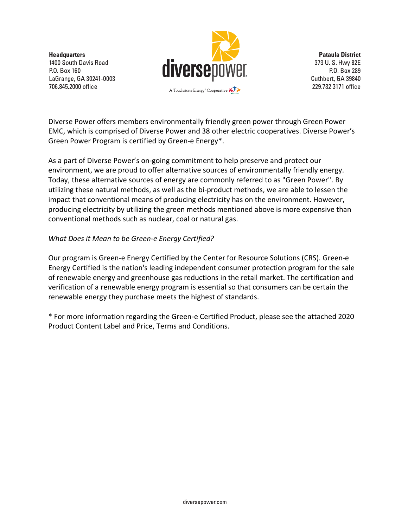**Headquarters** 1400 South Davis Road P.O. Box 160 LaGrange, GA 30241-0003 706.845.2000 office



**Pataula District** 373 U.S. Hwy 82E P.O. Box 289 Cuthbert, GA 39840 229.732.3171 office

Diverse Power offers members environmentally friendly green power through Green Power EMC, which is comprised of Diverse Power and 38 other electric cooperatives. Diverse Power's Green Power Program is certified by Green-e Energy\*.

As a part of Diverse Power's on-going commitment to help preserve and protect our environment, we are proud to offer alternative sources of environmentally friendly energy. Today, these alternative sources of energy are commonly referred to as "Green Power". By utilizing these natural methods, as well as the bi-product methods, we are able to lessen the impact that conventional means of producing electricity has on the environment. However, producing electricity by utilizing the green methods mentioned above is more expensive than conventional methods such as nuclear, coal or natural gas.

## *What Does it Mean to be Green-e Energy Certified?*

Our program is Green-e Energy Certified by the Center for Resource Solutions (CRS). Green-e Energy Certified is the nation's leading independent consumer protection program for the sale of renewable energy and greenhouse gas reductions in the retail market. The certification and verification of a renewable energy program is essential so that consumers can be certain the renewable energy they purchase meets the highest of standards.

\* For more information regarding the Green-e Certified Product, please see the attached 2020 Product Content Label and Price, Terms and Conditions.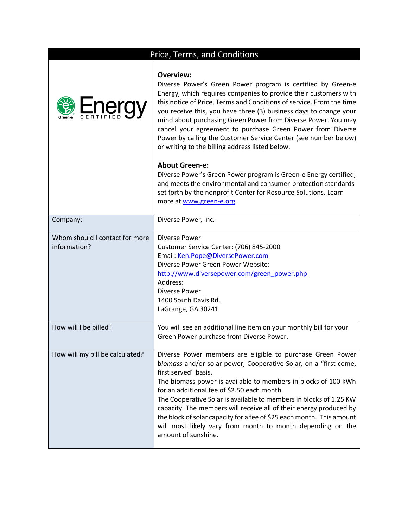|                                                | Price, Terms, and Conditions                                                                                                                                                                                                                                                                                                                                                                                                                                                                                                                                                      |
|------------------------------------------------|-----------------------------------------------------------------------------------------------------------------------------------------------------------------------------------------------------------------------------------------------------------------------------------------------------------------------------------------------------------------------------------------------------------------------------------------------------------------------------------------------------------------------------------------------------------------------------------|
| Energy                                         | <b>Overview:</b><br>Diverse Power's Green Power program is certified by Green-e<br>Energy, which requires companies to provide their customers with<br>this notice of Price, Terms and Conditions of service. From the time<br>you receive this, you have three (3) business days to change your<br>mind about purchasing Green Power from Diverse Power. You may<br>cancel your agreement to purchase Green Power from Diverse<br>Power by calling the Customer Service Center (see number below)<br>or writing to the billing address listed below.                             |
|                                                | <b>About Green-e:</b><br>Diverse Power's Green Power program is Green-e Energy certified,<br>and meets the environmental and consumer-protection standards<br>set forth by the nonprofit Center for Resource Solutions. Learn<br>more at www.green-e.org.                                                                                                                                                                                                                                                                                                                         |
| Company:                                       | Diverse Power, Inc.                                                                                                                                                                                                                                                                                                                                                                                                                                                                                                                                                               |
| Whom should I contact for more<br>information? | Diverse Power<br>Customer Service Center: (706) 845-2000<br>Email: Ken.Pope@DiversePower.com<br>Diverse Power Green Power Website:<br>http://www.diversepower.com/green_power.php<br>Address:<br>Diverse Power<br>1400 South Davis Rd.<br>LaGrange, GA 30241                                                                                                                                                                                                                                                                                                                      |
| How will I be billed?                          | You will see an additional line item on your monthly bill for your<br>Green Power purchase from Diverse Power.                                                                                                                                                                                                                                                                                                                                                                                                                                                                    |
| How will my bill be calculated?                | Diverse Power members are eligible to purchase Green Power<br>biomass and/or solar power, Cooperative Solar, on a "first come,<br>first served" basis.<br>The biomass power is available to members in blocks of 100 kWh<br>for an additional fee of \$2.50 each month.<br>The Cooperative Solar is available to members in blocks of 1.25 KW<br>capacity. The members will receive all of their energy produced by<br>the block of solar capacity for a fee of \$25 each month. This amount<br>will most likely vary from month to month depending on the<br>amount of sunshine. |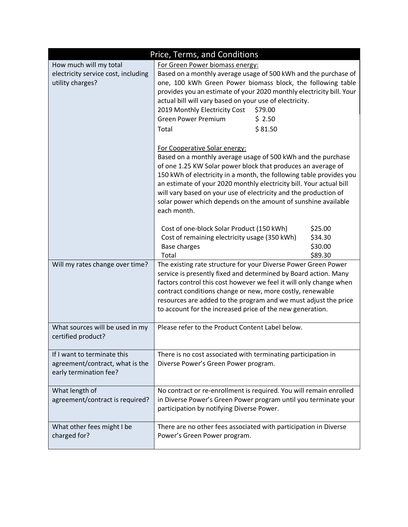| Price, Terms, and Conditions                                                             |                                                                                                                                                                                                                                                                                                                                                                                                                                                                 |                                                                                                                                                                                                                                        |  |  |  |
|------------------------------------------------------------------------------------------|-----------------------------------------------------------------------------------------------------------------------------------------------------------------------------------------------------------------------------------------------------------------------------------------------------------------------------------------------------------------------------------------------------------------------------------------------------------------|----------------------------------------------------------------------------------------------------------------------------------------------------------------------------------------------------------------------------------------|--|--|--|
| How much will my total<br>electricity service cost, including<br>utility charges?        | For Green Power biomass energy:<br>actual bill will vary based on your use of electricity.<br>2019 Monthly Electricity Cost<br><b>Green Power Premium</b><br>Total                                                                                                                                                                                                                                                                                              | Based on a monthly average usage of 500 kWh and the purchase of<br>one, 100 kWh Green Power biomass block, the following table<br>provides you an estimate of your 2020 monthly electricity bill. Your<br>\$79.00<br>\$2.50<br>\$81.50 |  |  |  |
|                                                                                          | For Cooperative Solar energy:<br>Based on a monthly average usage of 500 kWh and the purchase<br>of one 1.25 KW Solar power block that produces an average of<br>150 kWh of electricity in a month, the following table provides you<br>an estimate of your 2020 monthly electricity bill. Your actual bill<br>will vary based on your use of electricity and the production of<br>solar power which depends on the amount of sunshine available<br>each month. |                                                                                                                                                                                                                                        |  |  |  |
|                                                                                          | Cost of one-block Solar Product (150 kWh)<br>Cost of remaining electricity usage (350 kWh)<br>Base charges<br>Total                                                                                                                                                                                                                                                                                                                                             | \$25.00<br>\$34.30<br>\$30.00<br>\$89.30                                                                                                                                                                                               |  |  |  |
| Will my rates change over time?                                                          | The existing rate structure for your Diverse Power Green Power<br>service is presently fixed and determined by Board action. Many<br>factors control this cost however we feel it will only change when<br>contract conditions change or new, more costly, renewable<br>resources are added to the program and we must adjust the price<br>to account for the increased price of the new generation.                                                            |                                                                                                                                                                                                                                        |  |  |  |
| What sources will be used in my<br>certified product?                                    | Please refer to the Product Content Label below.                                                                                                                                                                                                                                                                                                                                                                                                                |                                                                                                                                                                                                                                        |  |  |  |
| If I want to terminate this<br>agreement/contract, what is the<br>early termination fee? | There is no cost associated with terminating participation in<br>Diverse Power's Green Power program.                                                                                                                                                                                                                                                                                                                                                           |                                                                                                                                                                                                                                        |  |  |  |
| What length of<br>agreement/contract is required?                                        | No contract or re-enrollment is required. You will remain enrolled<br>in Diverse Power's Green Power program until you terminate your<br>participation by notifying Diverse Power.                                                                                                                                                                                                                                                                              |                                                                                                                                                                                                                                        |  |  |  |
| What other fees might I be<br>charged for?                                               | There are no other fees associated with participation in Diverse<br>Power's Green Power program.                                                                                                                                                                                                                                                                                                                                                                |                                                                                                                                                                                                                                        |  |  |  |